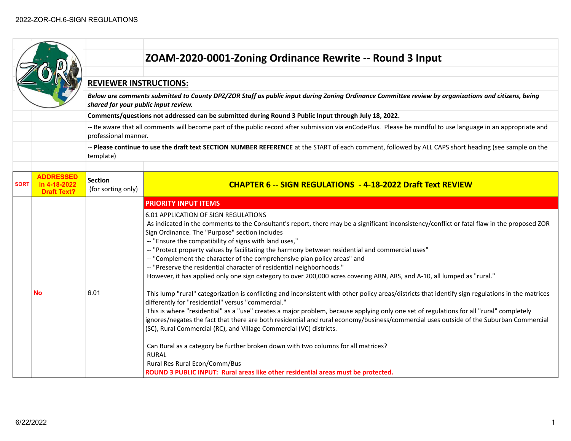|             |                                        |                                                                                                                                                                                            | ZOAM-2020-0001-Zoning Ordinance Rewrite -- Round 3 Input                                                                                                                                                                                                                                                                                                                                                                                                                                                                                                                                                                                                                                                                                                                                       |  |
|-------------|----------------------------------------|--------------------------------------------------------------------------------------------------------------------------------------------------------------------------------------------|------------------------------------------------------------------------------------------------------------------------------------------------------------------------------------------------------------------------------------------------------------------------------------------------------------------------------------------------------------------------------------------------------------------------------------------------------------------------------------------------------------------------------------------------------------------------------------------------------------------------------------------------------------------------------------------------------------------------------------------------------------------------------------------------|--|
|             |                                        |                                                                                                                                                                                            |                                                                                                                                                                                                                                                                                                                                                                                                                                                                                                                                                                                                                                                                                                                                                                                                |  |
|             |                                        | <b>REVIEWER INSTRUCTIONS:</b>                                                                                                                                                              |                                                                                                                                                                                                                                                                                                                                                                                                                                                                                                                                                                                                                                                                                                                                                                                                |  |
|             |                                        | Below are comments submitted to County DPZ/ZOR Staff as public input during Zoning Ordinance Committee review by organizations and citizens, being<br>shared for your public input review. |                                                                                                                                                                                                                                                                                                                                                                                                                                                                                                                                                                                                                                                                                                                                                                                                |  |
|             |                                        |                                                                                                                                                                                            | Comments/questions not addressed can be submitted during Round 3 Public Input through July 18, 2022.                                                                                                                                                                                                                                                                                                                                                                                                                                                                                                                                                                                                                                                                                           |  |
|             |                                        | professional manner.                                                                                                                                                                       | -- Be aware that all comments will become part of the public record after submission via enCodePlus. Please be mindful to use language in an appropriate and                                                                                                                                                                                                                                                                                                                                                                                                                                                                                                                                                                                                                                   |  |
|             |                                        | template)                                                                                                                                                                                  | -- Please continue to use the draft text SECTION NUMBER REFERENCE at the START of each comment, followed by ALL CAPS short heading (see sample on the                                                                                                                                                                                                                                                                                                                                                                                                                                                                                                                                                                                                                                          |  |
|             |                                        |                                                                                                                                                                                            |                                                                                                                                                                                                                                                                                                                                                                                                                                                                                                                                                                                                                                                                                                                                                                                                |  |
| <b>SORT</b> | <b>ADDRESSED</b><br><b>Draft Text?</b> | <b>Section</b><br>(for sorting only)                                                                                                                                                       | <b>CHAPTER 6 -- SIGN REGULATIONS - 4-18-2022 Draft Text REVIEW</b>                                                                                                                                                                                                                                                                                                                                                                                                                                                                                                                                                                                                                                                                                                                             |  |
|             |                                        |                                                                                                                                                                                            | <b>PRIORITY INPUT ITEMS</b>                                                                                                                                                                                                                                                                                                                                                                                                                                                                                                                                                                                                                                                                                                                                                                    |  |
|             |                                        |                                                                                                                                                                                            | 6.01 APPLICATION OF SIGN REGULATIONS<br>As indicated in the comments to the Consultant's report, there may be a significant inconsistency/conflict or fatal flaw in the proposed ZOR<br>Sign Ordinance. The "Purpose" section includes<br>-- "Ensure the compatibility of signs with land uses,"<br>-- "Protect property values by facilitating the harmony between residential and commercial uses"<br>-- "Complement the character of the comprehensive plan policy areas" and<br>-- "Preserve the residential character of residential neighborhoods."<br>However, it has applied only one sign category to over 200,000 acres covering ARN, ARS, and A-10, all lumped as "rural."                                                                                                          |  |
|             | Νo                                     | 6.01                                                                                                                                                                                       | This lump "rural" categorization is conflicting and inconsistent with other policy areas/districts that identify sign regulations in the matrices<br>differently for "residential" versus "commercial."<br>This is where "residential" as a "use" creates a major problem, because applying only one set of regulations for all "rural" completely<br>ignores/negates the fact that there are both residential and rural economy/business/commercial uses outside of the Suburban Commercial<br>(SC), Rural Commercial (RC), and Village Commercial (VC) districts.<br>Can Rural as a category be further broken down with two columns for all matrices?<br><b>RURAL</b><br>Rural Res Rural Econ/Comm/Bus<br>ROUND 3 PUBLIC INPUT: Rural areas like other residential areas must be protected. |  |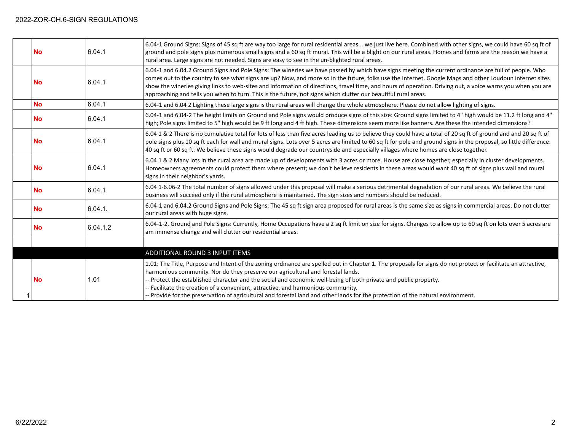| <b>No</b> | 6.04.1   | 6.04-1 Ground Signs: Signs of 45 sq ft are way too large for rural residential areaswe just live here. Combined with other signs, we could have 60 sq ft of<br>ground and pole signs plus numerous small signs and a 60 sq ft mural. This will be a blight on our rural areas. Homes and farms are the reason we have a<br>rural area. Large signs are not needed. Signs are easy to see in the un-blighted rural areas.                                                                                                                                                                         |
|-----------|----------|--------------------------------------------------------------------------------------------------------------------------------------------------------------------------------------------------------------------------------------------------------------------------------------------------------------------------------------------------------------------------------------------------------------------------------------------------------------------------------------------------------------------------------------------------------------------------------------------------|
| <b>No</b> | 6.04.1   | 6.04-1 and 6.04.2 Ground Signs and Pole Signs: The wineries we have passed by which have signs meeting the current ordinance are full of people. Who<br>comes out to the country to see what signs are up? Now, and more so in the future, folks use the Internet. Google Maps and other Loudoun internet sites<br>show the wineries giving links to web-sites and information of directions, travel time, and hours of operation. Driving out, a voice warns you when you are<br>approaching and tells you when to turn. This is the future, not signs which clutter our beautiful rural areas. |
| <b>No</b> | 6.04.1   | 6.04-1 and 6.04 2 Lighting these large signs is the rural areas will change the whole atmosphere. Please do not allow lighting of signs.                                                                                                                                                                                                                                                                                                                                                                                                                                                         |
| <b>No</b> | 6.04.1   | 6.04-1 and 6.04-2 The height limits on Ground and Pole signs would produce signs of this size: Ground signs limited to 4" high would be 11.2 ft long and 4"<br>high; Pole signs limited to 5" high would be 9 ft long and 4 ft high. These dimensions seem more like banners. Are these the intended dimensions?                                                                                                                                                                                                                                                                                 |
| <b>No</b> | 6.04.1   | 6.04 1 & 2 There is no cumulative total for lots of less than five acres leading us to believe they could have a total of 20 sq ft of ground and and 20 sq ft of<br>pole signs plus 10 sq ft each for wall and mural signs. Lots over 5 acres are limited to 60 sq ft for pole and ground signs in the proposal, so little difference:<br>40 sq ft or 60 sq ft. We believe these signs would degrade our countryside and especially villages where homes are close together.                                                                                                                     |
| <b>No</b> | 6.04.1   | 6.04 1 & 2 Many lots in the rural area are made up of developments with 3 acres or more. House are close together, especially in cluster developments.<br>Homeowners agreements could protect them where present; we don't believe residents in these areas would want 40 sq ft of signs plus wall and mural<br>signs in their neighbor's yards.                                                                                                                                                                                                                                                 |
| <b>No</b> | 6.04.1   | 6.04 1-6.06-2 The total number of signs allowed under this proposal will make a serious detrimental degradation of our rural areas. We believe the rural<br>business will succeed only if the rural atmosphere is maintained. The sign sizes and numbers should be reduced.                                                                                                                                                                                                                                                                                                                      |
| <b>No</b> | 6.04.1.  | 6.04-1 and 6.04.2 Ground Signs and Pole Signs: The 45 sq ft sign area proposed for rural areas is the same size as signs in commercial areas. Do not clutter<br>our rural areas with huge signs.                                                                                                                                                                                                                                                                                                                                                                                                 |
| <b>No</b> | 6.04.1.2 | 6.04-1-2. Ground and Pole Signs: Currently, Home Occupations have a 2 sq ft limit on size for signs. Changes to allow up to 60 sq ft on lots over 5 acres are<br>am immense change and will clutter our residential areas.                                                                                                                                                                                                                                                                                                                                                                       |
|           |          |                                                                                                                                                                                                                                                                                                                                                                                                                                                                                                                                                                                                  |
|           |          | ADDITIONAL ROUND 3 INPUT ITEMS                                                                                                                                                                                                                                                                                                                                                                                                                                                                                                                                                                   |
| <b>No</b> | 1.01     | 1.01: The Title, Purpose and Intent of the zoning ordinance are spelled out in Chapter 1. The proposals for signs do not protect or facilitate an attractive,<br>harmonious community. Nor do they preserve our agricultural and forestal lands.<br>- Protect the established character and the social and economic well-being of both private and public property.<br>- Facilitate the creation of a convenient, attractive, and harmonious community.<br>- Provide for the preservation of agricultural and forestal land and other lands for the protection of the natural environment.       |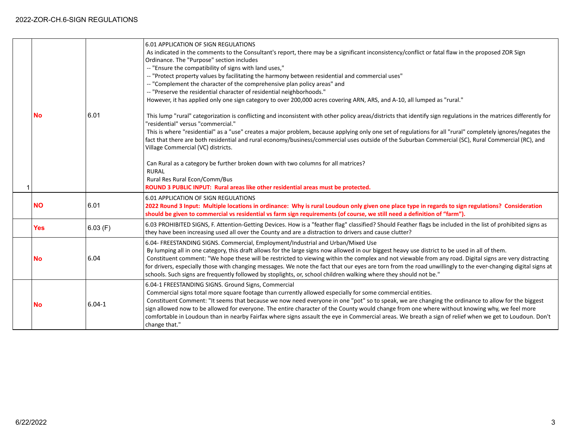|            |            | 6.01 APPLICATION OF SIGN REGULATIONS<br>As indicated in the comments to the Consultant's report, there may be a significant inconsistency/conflict or fatal flaw in the proposed ZOR Sign<br>Ordinance. The "Purpose" section includes<br>-- "Ensure the compatibility of signs with land uses,"<br>-- "Protect property values by facilitating the harmony between residential and commercial uses"<br>-- "Complement the character of the comprehensive plan policy areas" and<br>-- "Preserve the residential character of residential neighborhoods."<br>However, it has applied only one sign category to over 200,000 acres covering ARN, ARS, and A-10, all lumped as "rural." |
|------------|------------|---------------------------------------------------------------------------------------------------------------------------------------------------------------------------------------------------------------------------------------------------------------------------------------------------------------------------------------------------------------------------------------------------------------------------------------------------------------------------------------------------------------------------------------------------------------------------------------------------------------------------------------------------------------------------------------|
| <b>No</b>  | 6.01       | This lump "rural" categorization is conflicting and inconsistent with other policy areas/districts that identify sign regulations in the matrices differently for<br>'residential" versus "commercial."<br>This is where "residential" as a "use" creates a major problem, because applying only one set of regulations for all "rural" completely ignores/negates the<br>fact that there are both residential and rural economy/business/commercial uses outside of the Suburban Commercial (SC), Rural Commercial (RC), and<br>Village Commercial (VC) districts.                                                                                                                   |
|            |            | Can Rural as a category be further broken down with two columns for all matrices?<br><b>RURAL</b><br>Rural Res Rural Econ/Comm/Bus<br>ROUND 3 PUBLIC INPUT: Rural areas like other residential areas must be protected.                                                                                                                                                                                                                                                                                                                                                                                                                                                               |
| <b>NO</b>  | 6.01       | 6.01 APPLICATION OF SIGN REGULATIONS<br>2022 Round 3 Input: Multiple locations in ordinance: Why is rural Loudoun only given one place type in regards to sign regulations? Consideration<br>should be given to commercial vs residential vs farm sign requirements (of course, we still need a definition of "farm").                                                                                                                                                                                                                                                                                                                                                                |
| <b>Yes</b> | 6.03(F)    | 6.03 PROHIBITED SIGNS, F. Attention-Getting Devices. How is a "feather flag" classified? Should Feather flags be included in the list of prohibited signs as<br>they have been increasing used all over the County and are a distraction to drivers and cause clutter?                                                                                                                                                                                                                                                                                                                                                                                                                |
| <b>No</b>  | 6.04       | 6.04- FREESTANDING SIGNS. Commercial, Employment/Industrial and Urban/Mixed Use<br>By lumping all in one category, this draft allows for the large signs now allowed in our biggest heavy use district to be used in all of them.<br>Constituent comment: "We hope these will be restricted to viewing within the complex and not viewable from any road. Digital signs are very distracting<br>for drivers, especially those with changing messages. We note the fact that our eyes are torn from the road unwillingly to the ever-changing digital signs at<br>schools. Such signs are frequently followed by stoplights, or, school children walking where they should not be."    |
| <b>No</b>  | $6.04 - 1$ | 6.04-1 FREESTANDING SIGNS. Ground Signs, Commercial<br>Commercial signs total more square footage than currently allowed especially for some commercial entities.<br>Constituent Comment: "It seems that because we now need everyone in one "pot" so to speak, we are changing the ordinance to allow for the biggest<br>sign allowed now to be allowed for everyone. The entire character of the County would change from one where without knowing why, we feel more<br>comfortable in Loudoun than in nearby Fairfax where signs assault the eye in Commercial areas. We breath a sign of relief when we get to Loudoun. Don't<br>change that."                                   |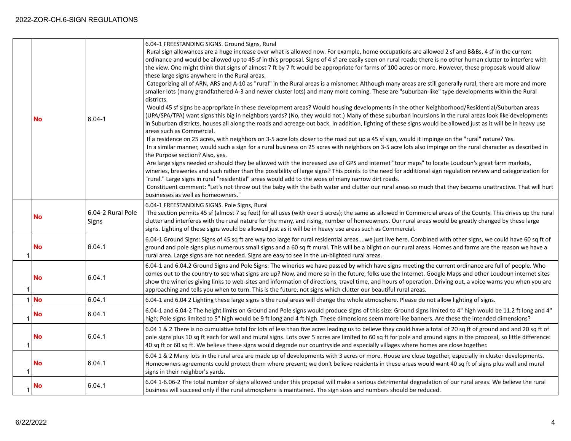| No        | $6.04 - 1$                 | 6.04-1 FREESTANDING SIGNS. Ground Signs, Rural<br>Rural sign allowances are a huge increase over what is allowed now. For example, home occupations are allowed 2 sf and B&Bs, 4 sf in the current<br>ordinance and would be allowed up to 45 sf in this proposal. Signs of 4 sf are easily seen on rural roads; there is no other human clutter to interfere with<br>the view. One might think that signs of almost 7 ft by 7 ft would be appropriate for farms of 100 acres or more. However, these proposals would allow<br>these large signs anywhere in the Rural areas.<br>Categorizing all of ARN, ARS and A-10 as "rural" in the Rural areas is a misnomer. Although many areas are still generally rural, there are more and more<br>smaller lots (many grandfathered A-3 and newer cluster lots) and many more coming. These are "suburban-like" type developments within the Rural<br>districts.<br>Would 45 sf signs be appropriate in these development areas? Would housing developments in the other Neighborhood/Residential/Suburban areas<br>(UPA/SPA/TPA) want signs this big in neighbors yards? (No, they would not.) Many of these suburban incursions in the rural areas look like developments<br>in Suburban districts, houses all along the roads and acreage out back. In addition, lighting of these signs would be allowed just as it will be in heavy use |
|-----------|----------------------------|-----------------------------------------------------------------------------------------------------------------------------------------------------------------------------------------------------------------------------------------------------------------------------------------------------------------------------------------------------------------------------------------------------------------------------------------------------------------------------------------------------------------------------------------------------------------------------------------------------------------------------------------------------------------------------------------------------------------------------------------------------------------------------------------------------------------------------------------------------------------------------------------------------------------------------------------------------------------------------------------------------------------------------------------------------------------------------------------------------------------------------------------------------------------------------------------------------------------------------------------------------------------------------------------------------------------------------------------------------------------------------------------|
|           |                            | areas such as Commercial.<br>If a residence on 25 acres, with neighbors on 3-5 acre lots closer to the road put up a 45 sf sign, would it impinge on the "rural" nature? Yes.<br>In a similar manner, would such a sign for a rural business on 25 acres with neighbors on 3-5 acre lots also impinge on the rural character as described in<br>the Purpose section? Also, yes.<br>Are large signs needed or should they be allowed with the increased use of GPS and internet "tour maps" to locate Loudoun's great farm markets,<br>wineries, breweries and such rather than the possibility of large signs? This points to the need for additional sign regulation review and categorization for<br>"rural." Large signs in rural "residential" areas would add to the woes of many narrow dirt roads.<br>Constituent comment: "Let's not throw out the baby with the bath water and clutter our rural areas so much that they become unattractive. That will hurt<br>businesses as well as homeowners."                                                                                                                                                                                                                                                                                                                                                                             |
| No        | 6.04-2 Rural Pole<br>Signs | 6.04-1 FREESTANDING SIGNS. Pole Signs, Rural<br>The section permits 45 sf (almost 7 sq feet) for all uses (with over 5 acres); the same as allowed in Commercial areas of the County. This drives up the rural<br>clutter and interferes with the rural nature for the many, and rising, number of homeowners. Our rural areas would be greatly changed by these large<br>signs. Lighting of these signs would be allowed just as it will be in heavy use areas such as Commercial.                                                                                                                                                                                                                                                                                                                                                                                                                                                                                                                                                                                                                                                                                                                                                                                                                                                                                                     |
| No        | 6.04.1                     | 6.04-1 Ground Signs: Signs of 45 sq ft are way too large for rural residential areaswe just live here. Combined with other signs, we could have 60 sq ft of<br>ground and pole signs plus numerous small signs and a 60 sq ft mural. This will be a blight on our rural areas. Homes and farms are the reason we have a<br>rural area. Large signs are not needed. Signs are easy to see in the un-blighted rural areas.                                                                                                                                                                                                                                                                                                                                                                                                                                                                                                                                                                                                                                                                                                                                                                                                                                                                                                                                                                |
| <b>No</b> | 6.04.1                     | 6.04-1 and 6.04.2 Ground Signs and Pole Signs: The wineries we have passed by which have signs meeting the current ordinance are full of people. Who<br>comes out to the country to see what signs are up? Now, and more so in the future, folks use the Internet. Google Maps and other Loudoun internet sites<br>show the wineries giving links to web-sites and information of directions, travel time, and hours of operation. Driving out, a voice warns you when you are<br>approaching and tells you when to turn. This is the future, not signs which clutter our beautiful rural areas.                                                                                                                                                                                                                                                                                                                                                                                                                                                                                                                                                                                                                                                                                                                                                                                        |
| $1$ No    | 6.04.1                     | 6.04-1 and 6.04 2 Lighting these large signs is the rural areas will change the whole atmosphere. Please do not allow lighting of signs.                                                                                                                                                                                                                                                                                                                                                                                                                                                                                                                                                                                                                                                                                                                                                                                                                                                                                                                                                                                                                                                                                                                                                                                                                                                |
| No        | 6.04.1                     | 6.04-1 and 6.04-2 The height limits on Ground and Pole signs would produce signs of this size: Ground signs limited to 4" high would be 11.2 ft long and 4"<br>high; Pole signs limited to 5" high would be 9 ft long and 4 ft high. These dimensions seem more like banners. Are these the intended dimensions?                                                                                                                                                                                                                                                                                                                                                                                                                                                                                                                                                                                                                                                                                                                                                                                                                                                                                                                                                                                                                                                                        |
| <b>No</b> | 6.04.1                     | 6.04 1 & 2 There is no cumulative total for lots of less than five acres leading us to believe they could have a total of 20 sq ft of ground and and 20 sq ft of<br>pole signs plus 10 sq ft each for wall and mural signs. Lots over 5 acres are limited to 60 sq ft for pole and ground signs in the proposal, so little difference:<br>40 sq ft or 60 sq ft. We believe these signs would degrade our countryside and especially villages where homes are close together.                                                                                                                                                                                                                                                                                                                                                                                                                                                                                                                                                                                                                                                                                                                                                                                                                                                                                                            |
| No        | 6.04.1                     | 6.04 1 & 2 Many lots in the rural area are made up of developments with 3 acres or more. House are close together, especially in cluster developments.<br>Homeowners agreements could protect them where present; we don't believe residents in these areas would want 40 sq ft of signs plus wall and mural<br>signs in their neighbor's yards.                                                                                                                                                                                                                                                                                                                                                                                                                                                                                                                                                                                                                                                                                                                                                                                                                                                                                                                                                                                                                                        |
| No        | 6.04.1                     | 6.04 1-6.06-2 The total number of signs allowed under this proposal will make a serious detrimental degradation of our rural areas. We believe the rural<br>business will succeed only if the rural atmosphere is maintained. The sign sizes and numbers should be reduced.                                                                                                                                                                                                                                                                                                                                                                                                                                                                                                                                                                                                                                                                                                                                                                                                                                                                                                                                                                                                                                                                                                             |
|           |                            |                                                                                                                                                                                                                                                                                                                                                                                                                                                                                                                                                                                                                                                                                                                                                                                                                                                                                                                                                                                                                                                                                                                                                                                                                                                                                                                                                                                         |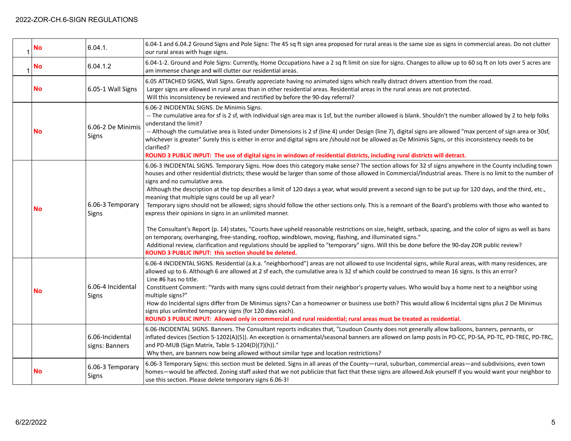| <b>No</b> | 6.04.1.                           | 6.04-1 and 6.04.2 Ground Signs and Pole Signs: The 45 sq ft sign area proposed for rural areas is the same size as signs in commercial areas. Do not clutter<br>our rural areas with huge signs.                                                                                                                                                                                                                                                                                                                                                                                                                                                                                                                                                                                                                                                                                                                                                                                                                                                                                                                                                                                                                                                                                      |
|-----------|-----------------------------------|---------------------------------------------------------------------------------------------------------------------------------------------------------------------------------------------------------------------------------------------------------------------------------------------------------------------------------------------------------------------------------------------------------------------------------------------------------------------------------------------------------------------------------------------------------------------------------------------------------------------------------------------------------------------------------------------------------------------------------------------------------------------------------------------------------------------------------------------------------------------------------------------------------------------------------------------------------------------------------------------------------------------------------------------------------------------------------------------------------------------------------------------------------------------------------------------------------------------------------------------------------------------------------------|
| <b>No</b> | 6.04.1.2                          | 6.04-1-2. Ground and Pole Signs: Currently, Home Occupations have a 2 sq ft limit on size for signs. Changes to allow up to 60 sq ft on lots over 5 acres are<br>am immense change and will clutter our residential areas.                                                                                                                                                                                                                                                                                                                                                                                                                                                                                                                                                                                                                                                                                                                                                                                                                                                                                                                                                                                                                                                            |
| <b>No</b> | 6.05-1 Wall Signs                 | 6.05 ATTACHED SIGNS, Wall Signs. Greatly appreciate having no animated signs which really distract drivers attention from the road.<br>Larger signs are allowed in rural areas than in other residential areas. Residential areas in the rural areas are not protected.<br>Will this inconsistency be reviewed and rectified by before the 90-day referral?                                                                                                                                                                                                                                                                                                                                                                                                                                                                                                                                                                                                                                                                                                                                                                                                                                                                                                                           |
| <b>No</b> | 6.06-2 De Minimis<br>Signs        | 6.06-2 INCIDENTAL SIGNS. De Minimis Signs.<br>-- The cumulative area for sf is 2 sf, with individual sign area max is 1sf, but the number allowed is blank. Shouldn't the number allowed by 2 to help folks<br>understand the limit?<br>-- Although the cumulative area is listed under Dimensions is 2 sf (line 4) under Design (line 7), digital signs are allowed "max percent of sign area or 30sf,<br>whichever is greater" Surely this is either in error and digital signs are /should not be allowed as De Minimis Signs, or this inconsistency needs to be<br>clarified?<br>ROUND 3 PUBLIC INPUT: The use of digital signs in windows of residential districts, including rural districts will detract.                                                                                                                                                                                                                                                                                                                                                                                                                                                                                                                                                                      |
| <b>No</b> | 6.06-3 Temporary<br>Signs         | 6.06-3 INCIDENTAL SIGNS. Temporary Signs. How does this category make sense? The section allows for 32 sf signs anywhere in the County including town<br>houses and other residential districts; these would be larger than some of those allowed in Commercial/Industrial areas. There is no limit to the number of<br>signs and no cumulative area.<br>Although the description at the top describes a limit of 120 days a year, what would prevent a second sign to be put up for 120 days, and the third, etc.,<br>meaning that multiple signs could be up all year?<br>Temporary signs should not be allowed; signs should follow the other sections only. This is a remnant of the Board's problems with those who wanted to<br>express their opinions in signs in an unlimited manner.<br>The Consultant's Report (p. 14) states, "Courts have upheld reasonable restrictions on size, height, setback, spacing, and the color of signs as well as bans<br>on temporary, overhanging, free-standing, rooftop, windblown, moving, flashing, and illuminated signs."<br>Additional review, clarification and regulations should be applied to "temporary" signs. Will this be done before the 90-day ZOR public review?<br>ROUND 3 PUBLIC INPUT: this section should be deleted. |
| <b>No</b> | 6.06-4 Incidental<br>Signs        | 6.06-4 INCIDENTAL SIGNS. Residential (a.k.a. "neighborhood") areas are not allowed to use Incidental signs, while Rural areas, with many residences, are<br>allowed up to 6. Although 6 are allowed at 2 sf each, the cumulative area is 32 sf which could be construed to mean 16 signs. Is this an error?<br>Line #6 has no title.<br>Constituent Comment: "Yards with many signs could detract from their neighbor's property values. Who would buy a home next to a neighbor using<br>multiple signs?"<br>How do Incidental signs differ from De Minimus signs? Can a homeowner or business use both? This would allow 6 Incidental signs plus 2 De Minimus<br>signs plus unlimited temporary signs (for 120 days each).<br>ROUND 3 PUBLIC INPUT: Allowed only in commercial and rural residential; rural areas must be treated as residential.                                                                                                                                                                                                                                                                                                                                                                                                                                   |
|           | 6.06-Incidental<br>signs: Banners | 6.06-INCIDENTAL SIGNS. Banners. The Consultant reports indicates that, "Loudoun County does not generally allow balloons, banners, pennants, or<br>inflated devices (Section 5-1202(A)(5)). An exception is ornamental/seasonal banners are allowed on lamp posts in PD-CC, PD-SA, PD-TC, PD-TREC, PD-TRC,<br>and PD-MUB (Sign Matrix, Table 5-1204(D)(7)(h))."<br>Why then, are banners now being allowed without similar type and location restrictions?                                                                                                                                                                                                                                                                                                                                                                                                                                                                                                                                                                                                                                                                                                                                                                                                                            |
| <b>No</b> | 6.06-3 Temporary<br>Signs         | 6.06-3 Temporary Signs: this section must be deleted. Signs in all areas of the County-rural, suburban, commercial areas-and subdivisions, even town<br>homes—would be affected. Zoning staff asked that we not publicize that fact that these signs are allowed.Ask yourself if you would want your neighbor to<br>use this section. Please delete temporary signs 6.06-3!                                                                                                                                                                                                                                                                                                                                                                                                                                                                                                                                                                                                                                                                                                                                                                                                                                                                                                           |